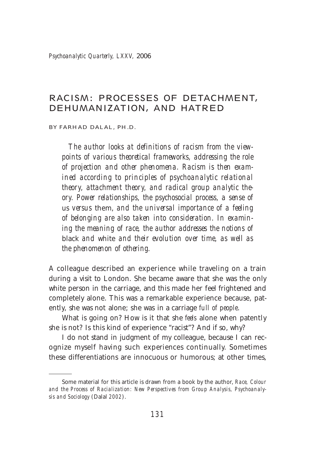# RACISM: PROCESSES OF DETACHMENT, DEHUMANIZATION, AND HATRED

BY FARHAD DALAL, PH.D.

*The author looks at definitions of racism from the viewpoints of various theoretical frameworks, addressing the role of projection and other phenomena. Racism is then examined according to principles of psychoanalytic relational theory, attachment theory, and radical group analytic theory. Power relationships, the psychosocial process, a sense of* us *versus* them, *and the universal importance of a feeling of belonging are also taken into consideration. In examining the meaning of race, the author addresses the notions of* black *and* white *and their evolution over time, as well as the phenomenon of othering.*

A colleague described an experience while traveling on a train during a visit to London. She became aware that she was the only white person in the carriage, and this made her feel frightened and completely alone. This was a remarkable experience because, patently, she was not alone; she was in a carriage *full of people*.

What is going on? How is it that she *feels* alone when patently she is not? Is this kind of experience "racist"? And if so, why?

I do not stand in judgment of my colleague, because I can recognize myself having such experiences continually. Sometimes these differentiations are innocuous or humorous; at other times,

Some material for this article is drawn from a book by the author, *Race, Colour and the Process of Racialization: New Perspectives from Group Analysis, Psychoanalysis and Sociology* (Dalal 2002).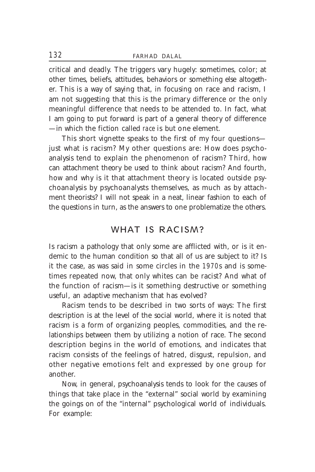critical and deadly. The triggers vary hugely: sometimes, color; at other times, beliefs, attitudes, behaviors or something else altogether. This is a way of saying that, in focusing on race and racism, I am not suggesting that this is the primary difference or the only meaningful difference that needs to be attended to. In fact, what I am going to put forward is part of a general theory of difference —in which the fiction called *race* is but one element.

This short vignette speaks to the first of my four questions just what is racism? My other questions are: How does psychoanalysis tend to explain the phenomenon of racism? Third, how can attachment theory be used to think about racism? And fourth, how and why is it that attachment theory is located outside psychoanalysis by psychoanalysts themselves, as much as by attachment theorists? I will not speak in a neat, linear fashion to each of the questions in turn, as the answers to one problematize the others.

## WHAT IS RACISM?

Is racism a pathology that only some are afflicted with, or is it endemic to the human condition so that all of us are subject to it? Is it the case, as was said in some circles in the 1970s and is sometimes repeated now, that only whites can be racist? And what of the function of racism—is it something destructive or something useful, an adaptive mechanism that has evolved?

Racism tends to be described in two sorts of ways: The first description is at the level of the social world, where it is noted that racism is a form of organizing peoples, commodities, and the relationships between them by utilizing a notion of race. The second description begins in the world of emotions, and indicates that racism consists of the feelings of hatred, disgust, repulsion, and other negative emotions felt and expressed by one group for another.

Now, in general, psychoanalysis tends to look for the causes of things that take place in the "external" social world by examining the goings on of the "internal" psychological world of individuals. For example: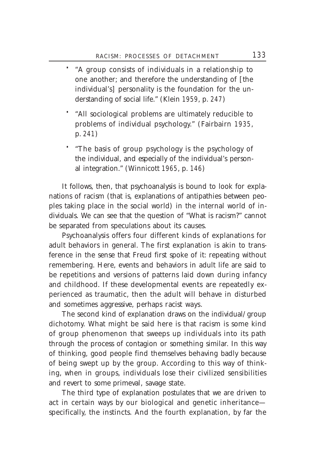- · "A group consists of individuals in a relationship to one another; and therefore the understanding of [the individual's] personality is the foundation for the understanding of social life." (Klein 1959, p. 247)
- · "All sociological problems are ultimately reducible to problems of individual psychology." (Fairbairn 1935, p. 241)
- · "The basis of group psychology is the psychology of the individual, and especially of the individual's personal integration." (Winnicott 1965, p. 146)

It follows, then, that psychoanalysis is bound to look for explanations of racism (that is, explanations of antipathies between peoples taking place in the social world) in the internal world of individuals. We can see that the question of "What is racism?" cannot be separated from speculations about its causes.

Psychoanalysis offers four different kinds of explanations for adult behaviors in general. The first explanation is akin to transference in the sense that Freud first spoke of it: repeating without remembering. Here, events and behaviors in adult life are said to be repetitions and versions of patterns laid down during infancy and childhood. If these developmental events are repeatedly experienced as traumatic, then the adult will behave in disturbed and sometimes aggressive, perhaps racist ways.

The second kind of explanation draws on the individual/group dichotomy. What might be said here is that racism is some kind of group phenomenon that sweeps up individuals into its path through the process of contagion or something similar. In this way of thinking, good people find themselves behaving badly because of being swept up by the group. According to this way of thinking, when in groups, individuals lose their civilized sensibilities and revert to some primeval, savage state.

The third type of explanation postulates that we are driven to act in certain ways by our biological and genetic inheritance specifically, the instincts. And the fourth explanation, by far the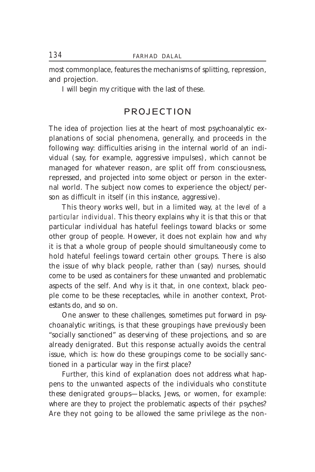most commonplace, features the mechanisms of splitting, repression, and projection.

I will begin my critique with the last of these.

# PROJECTION

The idea of projection lies at the heart of most psychoanalytic explanations of social phenomena, generally, and proceeds in the following way: difficulties arising in the internal world of an individual (say, for example, aggressive impulses), which cannot be managed for whatever reason, are split off from consciousness, repressed, and projected into some object or person in the external world. The subject now comes to experience the object/person as difficult in itself (in this instance, aggressive).

This theory works well, but in a limited way, *at the level of a particular individual*. This theory explains why it is that this or that particular individual has hateful feelings toward blacks or some other group of people. However, it does not explain *how* and *why* it is that a whole group of people should simultaneously come to hold hateful feelings toward certain other groups. There is also the issue of why black people, rather than (say) nurses, should come to be used as containers for these unwanted and problematic aspects of the self. And why is it that, in one context, black people come to be these receptacles, while in another context, Protestants do, and so on.

One answer to these challenges, sometimes put forward in psychoanalytic writings, is that these groupings have previously been "socially sanctioned" as deserving of these projections, and so are already denigrated. But this response actually avoids the central issue, which is: how do these groupings come to be socially sanctioned in a particular way in the first place?

Further, this kind of explanation does not address what happens to the unwanted aspects of the individuals who constitute these denigrated groups—blacks, Jews, or women, for example: where are they to project the problematic aspects of *their* psyches? Are they not going to be allowed the same privilege as the non-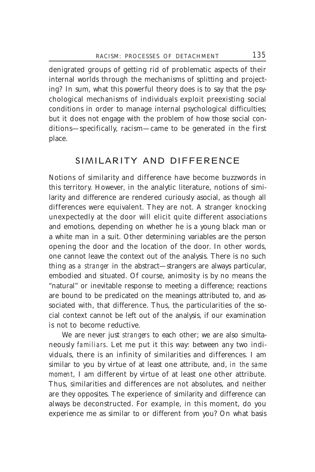denigrated groups of getting rid of problematic aspects of their internal worlds through the mechanisms of splitting and projecting? In sum, what this powerful theory does is to say that the psychological mechanisms of individuals exploit preexisting social conditions in order to manage internal psychological difficulties; but it does not engage with the problem of how those social conditions—specifically, racism—came to be generated in the first place.

# SIMILARITY AND DIFFERENCE

Notions of similarity and difference have become buzzwords in this territory. However, in the analytic literature, notions of similarity and difference are rendered curiously asocial, as though all differences were equivalent. They are not. A stranger knocking unexpectedly at the door will elicit quite different associations and emotions, depending on whether he is a young black man or a white man in a suit. Other determining variables are the person opening the door and the location of the door. In other words, one cannot leave the context out of the analysis. There is no such thing as *a stranger* in the abstract—strangers are always particular, embodied and situated. Of course, animosity is by no means the "natural" or inevitable response to meeting a difference; reactions are bound to be predicated on the meanings attributed to, and associated with, that difference. Thus, the particularities of the social context cannot be left out of the analysis, if our examination is not to become reductive.

We are never just *strangers* to each other; we are also simultaneously *familiars*. Let me put it this way: between any two individuals, there is an infinity of similarities and differences. I am similar to you by virtue of at least one attribute, and, *in the same moment*, I am different by virtue of at least one other attribute. Thus, similarities and differences are not absolutes, and neither are they opposites. The experience of similarity and difference can always be deconstructed. For example, in this moment, do you experience me as similar to or different from you? On what basis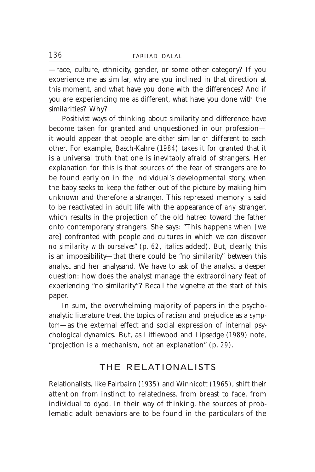—race, culture, ethnicity, gender, or some other category? If you experience me as similar, why are you inclined in that direction at this moment, and what have you done with the differences? And if you are experiencing me as different, what have you done with the similarities? Why?

Positivist ways of thinking about similarity and difference have become taken for granted and unquestioned in our profession it would appear that people are *either* similar *or* different to each other. For example, Basch-Kahre (1984) takes it for granted that it is a universal truth that one is inevitably afraid of strangers. Her explanation for this is that sources of the fear of strangers are to be found early on in the individual's developmental story, when the baby seeks to keep the father out of the picture by making him unknown and therefore a stranger. This repressed memory is said to be reactivated in adult life with the appearance of *any* stranger, which results in the projection of the old hatred toward the father onto contemporary strangers. She says: "This happens when [we are] confronted with people and cultures in which we can discover *no similarity with ourselves*" (p. 62, italics added). But, clearly, this is an impossibility—that there could be "no similarity" between this analyst and her analysand. We have to ask of the analyst a deeper question: how does the analyst manage the extraordinary feat of experiencing "no similarity"? Recall the vignette at the start of this paper.

In sum, the overwhelming majority of papers in the psychoanalytic literature treat the topics of racism and prejudice as a *symptom*—as the external effect and social expression of internal psychological dynamics. But, as Littlewood and Lipsedge (1989) note, "projection is a mechanism, not an explanation" (p. 29).

# THE RELATIONALISTS

Relationalists, like Fairbairn (1935) and Winnicott (1965), shift their attention from instinct to relatedness, from breast to face, from individual to dyad. In their way of thinking, the sources of problematic adult behaviors are to be found in the particulars of the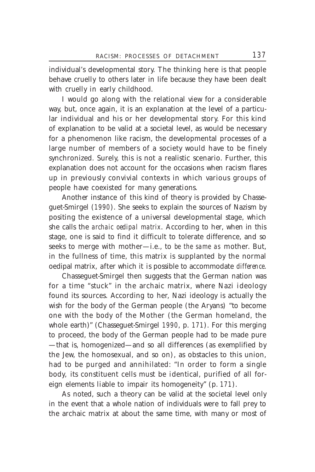individual's developmental story. The thinking here is that people behave cruelly to others later in life because they have been dealt with cruelly in early childhood.

I would go along with the relational view for a considerable way, but, once again, it is an explanation at the level of a particular individual and his or her developmental story. For this kind of explanation to be valid at a societal level, as would be necessary for a phenomenon like racism, the developmental processes of a large number of members of a society would have to be finely synchronized. Surely, this is not a realistic scenario. Further, this explanation does not account for the occasions when racism flares up in previously convivial contexts in which various groups of people have coexisted for many generations.

Another instance of this kind of theory is provided by Chasseguet-Smirgel (1990). She seeks to explain the sources of Nazism by positing the existence of a universal developmental stage, which she calls the *archaic oedipal matrix*. According to her, when in this stage, one is said to find it difficult to tolerate difference, and so seeks to merge with mother—i.e., to *be the same as* mother. But, in the fullness of time, this matrix is supplanted by the normal oedipal matrix, after which it is possible to accommodate *difference*.

Chasseguet-Smirgel then suggests that the German nation was for a time "stuck" in the archaic matrix, where Nazi ideology found its sources. According to her, Nazi ideology is actually the wish for the body of the German people (the Aryans) "to become one with the body of the Mother (the German homeland, the whole earth)" (Chasseguet-Smirgel 1990, p. 171). For this merging to proceed, the body of the German people had to be made pure —that is, homogenized—and so all differences (as exemplified by the Jew, the homosexual, and so on), as obstacles to this union, had to be purged and annihilated: "In order to form a single body, its constituent cells must be identical, purified of all foreign elements liable to impair its homogeneity" (p. 171).

As noted, such a theory can be valid at the societal level only in the event that a whole nation of individuals were to fall prey to the archaic matrix at about the same time, with many or most of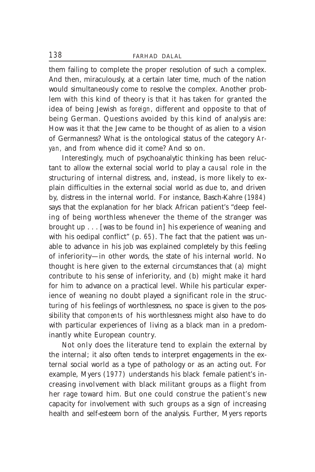them failing to complete the proper resolution of such a complex. And then, miraculously, at a certain later time, much of the nation would simultaneously come to resolve the complex. Another problem with this kind of theory is that it has taken for granted the idea of being Jewish as *foreign,* different and opposite to that of being German. Questions avoided by this kind of analysis are: How was it that the Jew came to be thought of as alien to a vision of Germanness? What is the ontological status of the category *Aryan,* and from whence did it come? And so on.

Interestingly, much of psychoanalytic thinking has been reluctant to allow the external social world to play a *causal* role in the structuring of internal distress, and, instead, is more likely to explain difficulties in the external social world as due to, and driven by, distress in the internal world. For instance, Basch-Kahre (1984) says that the explanation for her black African patient's "deep feeling of being worthless whenever the theme of the stranger was brought up . . . [was to be found in] his experience of weaning and with his oedipal conflict" (p. 65). The fact that the patient was unable to advance in his job was explained completely by this feeling of inferiority—in other words, the state of his internal world. No thought is here given to the external circumstances that (a) might contribute to his sense of inferiority, and (b) might make it hard for him to advance on a practical level. While his particular experience of weaning no doubt played a significant role in the structuring of his feelings of worthlessness, no space is given to the possibility that *components* of his worthlessness might also have to do with particular experiences of living as a black man in a predominantly white European country.

Not only does the literature tend to explain the external by the internal; it also often tends to interpret engagements in the external social world as a type of pathology or as an acting out. For example, Myers (1977) understands his black female patient's increasing involvement with black militant groups as a flight from her rage toward him. But one could construe the patient's new capacity for involvement with such groups as a sign of increasing health and self-esteem born of the analysis. Further, Myers reports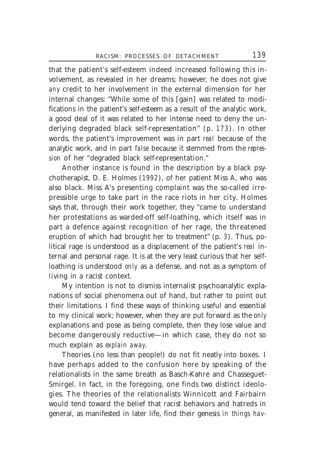that the patient's self-esteem indeed increased following this involvement, as revealed in her dreams; however, he does not give *any* credit to her involvement in the external dimension for her internal changes: "While some of this [gain] was related to modifications in the patient's self-esteem as a result of the analytic work, a good deal of it was related to her intense need to deny the underlying degraded black self-representation" (p. 173). In other words, the patient's improvement was in part *real* because of the analytic work, and in part *false* because it stemmed from the *repression* of her "degraded black self-representation."

Another instance is found in the description by a black psychotherapist, D. E. Holmes (1992), of her patient Miss A, who was also black. Miss A's presenting complaint was the so-called irrepressible urge to take part in the race riots in her city. Holmes says that, through their work together, they "came to understand her protestations as warded-off self-loathing, which itself was in part a defence against recognition of her rage, the threatened eruption of which had brought her to treatment" (p. 3). Thus, political rage is understood as a displacement of the patient's *real* internal and personal rage. It is at the very least curious that her selfloathing is understood *only* as a defense, and not as a symptom of living in a racist context.

My intention is not to dismiss internalist psychoanalytic explanations of social phenomena out of hand, but rather to point out their limitations. I find these ways of thinking useful and essential to my clinical work; however, when they are put forward as the *only* explanations and pose as being complete, then they lose value and become dangerously reductive—in which case, they do not so much explain as *explain away*.

Theories (no less than people!) do not fit neatly into boxes. I have perhaps added to the confusion here by speaking of the relationalists in the same breath as Basch-Kahre and Chasseguet-Smirgel. In fact, in the foregoing, one finds two distinct ideologies. The theories of the relationalists Winnicott and Fairbairn would tend toward the belief that racist behaviors and hatreds in general, as manifested in later life, find their genesis *in things hav-*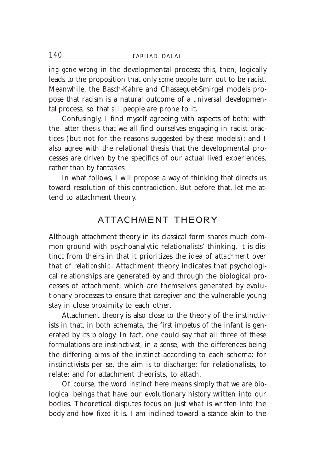*ing gone wrong* in the developmental process; this, then, logically leads to the proposition that only *some* people turn out to be racist. Meanwhile, the Basch-Kahre and Chasseguet-Smirgel models propose that racism is a natural outcome of a *universal* developmental process, so that *all* people are prone to it.

Confusingly, I find myself agreeing with aspects of both: with the latter thesis that we all find ourselves engaging in racist practices (but not for the reasons suggested by these models); and I also agree with the relational thesis that the developmental processes are driven by the specifics of our actual lived experiences, rather than by fantasies.

In what follows, I will propose a way of thinking that directs us toward resolution of this contradiction. But before that, let me attend to attachment theory.

# ATTACHMENT THEORY

Although attachment theory in its classical form shares much common ground with psychoanalytic relationalists' thinking, it is distinct from theirs in that it prioritizes the idea of *attachment* over that of *relationship*. Attachment theory indicates that psychological relationships are generated by and through the biological processes of attachment, which are themselves generated by evolutionary processes to ensure that caregiver and the vulnerable young stay in close proximity to each other.

Attachment theory is also close to the theory of the instinctivists in that, in both schemata, the first impetus of the infant is generated by its biology. In fact, one could say that all three of these formulations are instinctivist, in a sense, with the differences being the differing aims of the instinct according to each schema: for instinctivists per se, the aim is to discharge; for relationalists, to relate; and for attachment theorists, to attach.

Of course, the word *instinct* here means simply that we are biological beings that have our evolutionary history written into our bodies. Theoretical disputes focus on just *what* is written into the body and *how fixed* it is. I am inclined toward a stance akin to the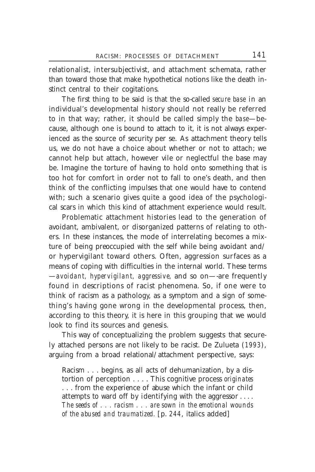relationalist, intersubjectivist, and attachment schemata, rather than toward those that make hypothetical notions like the death instinct central to their cogitations.

The first thing to be said is that the so-called *secure base* in an individual's developmental history should not really be referred to in that way; rather, it should be called simply the *base*—because, although one is bound to attach to it, it is not always experienced as the source of security per se. As attachment theory tells us, we do not have a choice about whether or not to attach; we cannot help but attach, however vile or neglectful the base may be. Imagine the torture of having to hold onto something that is too hot for comfort in order not to fall to one's death, and then think of the conflicting impulses that one would have to contend with; such a scenario gives quite a good idea of the psychological scars in which this kind of attachment experience would result.

Problematic attachment histories lead to the generation of avoidant, ambivalent, or disorganized patterns of relating to others. In these instances, the mode of interrelating becomes a mixture of being preoccupied with the self while being avoidant and/ or hypervigilant toward others. Often, aggression surfaces as a means of coping with difficulties in the internal world. These terms —*avoidant, hypervigilant, aggressive,* and so on—-are frequently found in descriptions of racist phenomena. So, if one were to think of racism as a pathology, as a symptom and a sign of something's having gone wrong in the developmental process, then, according to this theory, it is here in this grouping that we would look to find its sources and genesis.

This way of conceptualizing the problem suggests that securely attached persons are not likely to be racist. De Zulueta (1993), arguing from a broad relational/attachment perspective, says:

Racism . . . begins, as all acts of dehumanization, by a distortion of perception . . . . This cognitive process *originates* . . . from the experience of abuse which the infant or child attempts to ward off by identifying with the aggressor . . . . *The seeds of . . . racism . . . are sown in the emotional wounds of the abused and traumatized.* [p. 244, italics added]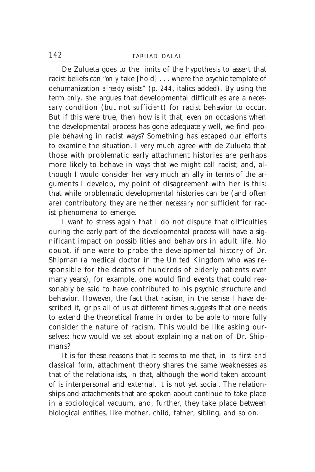De Zulueta goes to the limits of the hypothesis to assert that racist beliefs can "*only* take [hold] . . . where the psychic template of dehumanization *already exists"* (p. 244, italics added). By using the term *only,* she argues that developmental difficulties are a *necessary* condition (but not *sufficient*) for racist behavior to occur. But if this were true, then how is it that, even on occasions when the developmental process has gone adequately well, we find people behaving in racist ways? Something has escaped our efforts to examine the situation. I very much agree with de Zulueta that those with problematic early attachment histories are perhaps more likely to behave in ways that we might call racist; and, although I would consider her very much an ally in terms of the arguments I develop, my point of disagreement with her is this: that while problematic developmental histories can be (and often are) contributory, they are neither *necessary* nor *sufficient* for racist phenomena to emerge.

I want to stress again that I do not dispute that difficulties during the early part of the developmental process will have a significant impact on possibilities and behaviors in adult life. No doubt, if one were to probe the developmental history of Dr. Shipman (a medical doctor in the United Kingdom who was responsible for the deaths of hundreds of elderly patients over many years), for example, one would find events that could reasonably be said to have contributed to his psychic structure and behavior. However, the fact that racism, in the sense I have described it, grips all of us at different times suggests that one needs to extend the theoretical frame in order to be able to more fully consider the nature of racism. This would be like asking ourselves: how would we set about explaining a nation of Dr. Shipmans?

It is for these reasons that it seems to me that, *in its first and classical form*, attachment theory shares the same weaknesses as that of the relationalists, in that, although the world taken account of is interpersonal and external, it is not yet social. The relationships and attachments that are spoken about continue to take place in a sociological vacuum, and, further, they take place between biological entities, like mother, child, father, sibling, and so on.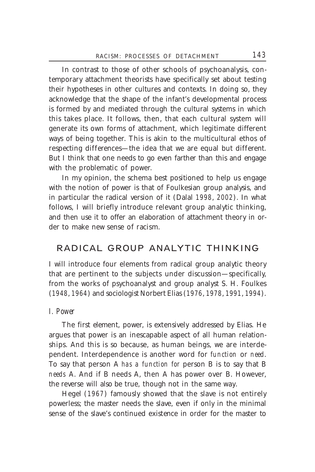In contrast to those of other schools of psychoanalysis, contemporary attachment theorists have specifically set about testing their hypotheses in other cultures and contexts. In doing so, they acknowledge that the shape of the infant's developmental process is formed by and mediated through the cultural systems in which this takes place. It follows, then, that each cultural system will generate its own forms of attachment, which legitimate different ways of being together. This is akin to the multicultural ethos of respecting differences—the idea that we are equal but different. But I think that one needs to go even farther than this and engage with the problematic of power.

In my opinion, the schema best positioned to help us engage with the notion of power is that of Foulkesian group analysis, and in particular the radical version of it (Dalal 1998, 2002). In what follows, I will briefly introduce relevant group analytic thinking, and then use it to offer an elaboration of attachment theory in order to make new sense of racism.

# RADICAL GROUP ANALYTIC THINKING

I will introduce four elements from radical group analytic theory that are pertinent to the subjects under discussion—specifically, from the works of psychoanalyst and group analyst S. H. Foulkes (1948, 1964) and sociologist Norbert Elias (1976, 1978, 1991, 1994).

## *I. Power*

The first element, power, is extensively addressed by Elias. He argues that power is an inescapable aspect of all human relationships. And this is so because, as human beings, we are interdependent. Interdependence is another word for *function* or *need*. To say that person A *has a function for* person B is to say that B *needs* A. And if B needs A, then A has power over B. However, the reverse will also be true, though not in the same way.

Hegel (1967) famously showed that the slave is not entirely powerless; the master needs the slave, even if only in the minimal sense of the slave's continued existence in order for the master to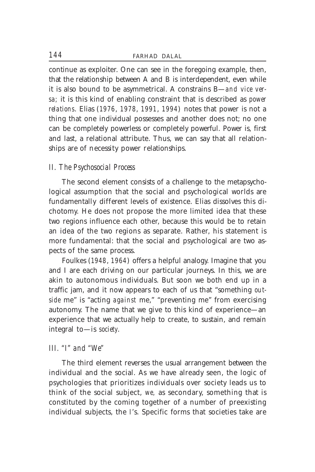144 FARHAD DALAL

continue as exploiter. One can see in the foregoing example, then, that the relationship between A and B is interdependent, even while it is also bound to be asymmetrical. A constrains B—*and vice versa;* it is this kind of enabling constraint that is described as *power relations*. Elias (1976, 1978, 1991, 1994) notes that power is not a thing that one individual possesses and another does not; no one can be completely powerless or completely powerful. Power is, first and last, a relational attribute. Thus, we can say that all relationships are of necessity power relationships.

## *II. The Psychosocial Process*

The second element consists of a challenge to the metapsychological assumption that the social and psychological worlds are fundamentally different levels of existence. Elias dissolves this dichotomy. He does not propose the more limited idea that these two regions influence each other, because this would be to retain an idea of the two regions as separate. Rather, his statement is more fundamental: that the social and psychological are two aspects of the same process.

Foulkes (1948, 1964) offers a helpful analogy. Imagine that you and I are each driving on our particular journeys. In this, we are akin to autonomous individuals. But soon we both end up in a traffic jam, and it now appears to each of us that "something *outside* me" is "acting *against* me," "preventing me" from exercising autonomy. The name that we give to this kind of experience—an experience that we actually help to create, to sustain, and remain integral to—is *society*.

## *III. "I" and "We"*

The third element reverses the usual arrangement between the individual and the social. As we have already seen, the logic of psychologies that prioritizes individuals over society leads us to think of the social subject, *we,* as secondary, something that is constituted by the coming together of a number of preexisting individual subjects, the *I*'s. Specific forms that societies take are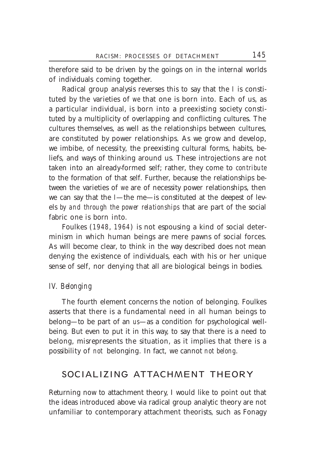therefore said to be driven by the goings on in the internal worlds of individuals coming together.

Radical group analysis reverses this to say that the *I* is constituted by the varieties of *we* that one is born into. Each of us, as a particular individual, is born into a preexisting society constituted by a multiplicity of overlapping and conflicting cultures. The cultures themselves, as well as the relationships between cultures, are constituted by power relationships. As we grow and develop, we imbibe, of necessity, the preexisting cultural forms, habits, beliefs, and ways of thinking around us. These introjections are not taken into an already-formed self; rather, they come to *contribute* to the formation of that self. Further, because the relationships between the varieties of *we* are of necessity power relationships, then we can say that the *I*—the me—is constituted at the deepest of levels *by and through the power relationships* that are part of the social fabric one is born into.

Foulkes (1948, 1964) is not espousing a kind of social determinism in which human beings are mere pawns of social forces. As will become clear, to think in the way described does not mean denying the existence of individuals, each with his or her unique sense of self, nor denying that all are biological beings in bodies.

### *IV. Belonging*

The fourth element concerns the notion of belonging. Foulkes asserts that there is a fundamental need in all human beings to belong—to be part of an *us*—as a condition for psychological wellbeing. But even to put it in this way, to say that there is a need to belong, misrepresents the situation, as it implies that there is a possibility of *not* belonging. In fact, we cannot *not belong*.

# SOCIALIZING ATTACHMENT THEORY

Returning now to attachment theory, I would like to point out that the ideas introduced above via radical group analytic theory are not unfamiliar to contemporary attachment theorists, such as Fonagy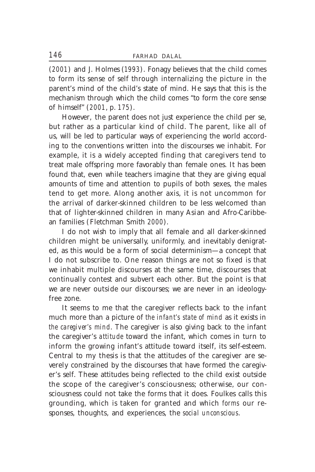(2001) and J. Holmes (1993). Fonagy believes that the child comes to form its sense of self through internalizing the picture in the parent's mind of the child's state of mind. He says that this is the mechanism through which the child comes "to form the core sense of himself" (2001, p. 175).

However, the parent does not just experience the child per se, but rather as a particular kind of child. The parent, like all of us, will be led to particular ways of experiencing the world according to the conventions written into the discourses we inhabit. For example, it is a widely accepted finding that caregivers tend to treat male offspring more favorably than female ones. It has been found that, even while teachers imagine that they are giving equal amounts of time and attention to pupils of both sexes, the males tend to get more. Along another axis, it is not uncommon for the arrival of darker-skinned children to be less welcomed than that of lighter-skinned children in many Asian and Afro-Caribbean families (Fletchman Smith 2000).

I do not wish to imply that all female and all darker-skinned children might be universally, uniformly, and inevitably denigrated, as this would be a form of social determinism—a concept that I do not subscribe to. One reason things are not so fixed is that we inhabit multiple discourses at the same time, discourses that continually contest and subvert each other. But the point is that we are never outside our discourses; we are never in an ideologyfree zone.

It seems to me that the caregiver reflects back to the infant much more than a picture of *the infant's state of mind* as it exists in *the caregiver's mind*. The caregiver is also giving back to the infant the caregiver's *attitude* toward the infant, which comes in turn to inform the growing infant's attitude toward itself, its self-esteem. Central to my thesis is that the attitudes of the caregiver are severely constrained by the discourses that have formed the caregiver's self. These attitudes being reflected to the child exist outside the scope of the caregiver's consciousness; otherwise, our consciousness could not take the forms that it does. Foulkes calls this grounding, which is taken for granted and which *forms* our responses, thoughts, and experiences, the *social unconscious*.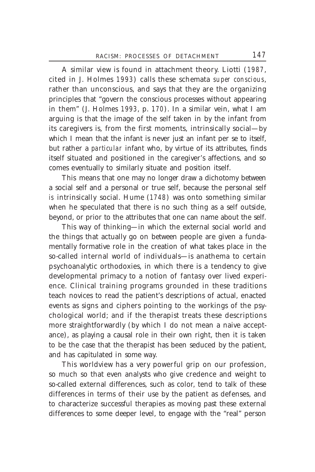A similar view is found in attachment theory. Liotti (1987, cited in J. Holmes 1993) calls these schemata *super conscious*, rather than unconscious, and says that they are the organizing principles that "govern the conscious processes without appearing in them" (J. Holmes 1993, p. 170). In a similar vein, what I am arguing is that the image of the self taken in by the infant from its caregivers is, from the first moments, intrinsically social—by which I mean that the infant is never just an infant per se to itself, but rather a *particular* infant who, by virtue of its attributes, finds itself situated and positioned in the caregiver's affections, and so comes eventually to similarly situate and position itself.

This means that one may no longer draw a dichotomy between a social self and a personal or true self, because the personal self *is* intrinsically social. Hume (1748) was onto something similar when he speculated that there is no such thing as a self outside, beyond, or prior to the attributes that one can name about the self.

This way of thinking—in which the external social world and the things that actually go on between people are given a fundamentally formative role in the creation of what takes place in the so-called internal world of individuals—is anathema to certain psychoanalytic orthodoxies, in which there is a tendency to give developmental primacy to a notion of fantasy over lived experience. Clinical training programs grounded in these traditions teach novices to read the patient's descriptions of actual, enacted events as signs and ciphers pointing to the workings of the psychological world; and if the therapist treats these descriptions more straightforwardly (by which I do not mean a naive acceptance), as playing a causal role in their own right, then it is taken to be the case that the therapist has been seduced by the patient, and has capitulated in some way.

This worldview has a very powerful grip on our profession, so much so that even analysts who give credence and weight to so-called external differences, such as color, tend to talk of these differences in terms of their use by the patient as defenses, and to characterize successful therapies as moving past these external differences to some deeper level, to engage with the "real" person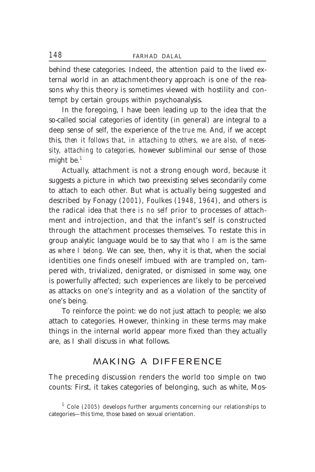behind these categories. Indeed, the attention paid to the lived external world in an attachment-theory approach is one of the reasons why this theory is sometimes viewed with hostility and contempt by certain groups within psychoanalysis.

In the foregoing, I have been leading up to the idea that the so-called social categories of identity (in general) are integral to a deep sense of self, the experience of the *true me*. And, if we accept this, *then it follows that, in attaching to others, we are also, of necessity, attaching to categories,* however subliminal our sense of those might be*.* 1

Actually, attachment is not a strong enough word, because it suggests a picture in which two preexisting selves secondarily come to attach to each other. But what is actually being suggested and described by Fonagy (2001), Foulkes (1948, 1964), and others is the radical idea that *there is no self* prior to processes of attachment and introjection, and that the infant's self is constructed through the attachment processes themselves. To restate this in group analytic language would be to say that *who I am* is the same as *where I belong*. We can see, then, why it is that, when the social identities one finds oneself imbued with are trampled on, tampered with, trivialized, denigrated, or dismissed in some way, one is powerfully affected; such experiences are likely to be perceived as attacks on one's integrity and as a violation of the sanctity of one's being.

To reinforce the point: we do not just attach to people; we also attach to categories. However, thinking in these terms may make things in the internal world appear more fixed than they actually are, as I shall discuss in what follows.

# MAKING A DIFFERENCE

The preceding discussion renders the world too simple on two counts: First, it takes categories of belonging, such as white, Mos-

<sup>1</sup> Cole (2005) develops further arguments concerning our relationships to categories—this time, those based on sexual orientation.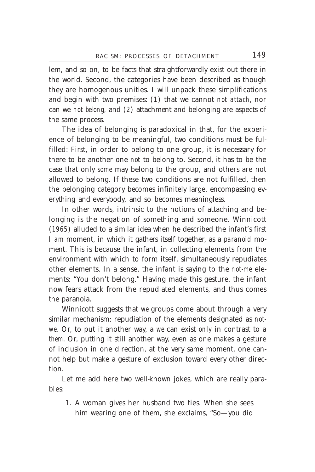lem, and so on, to be facts that straightforwardly exist out there in the world. Second, the categories have been described as though they are homogenous unities. I will unpack these simplifications and begin with two premises: (1) that we cannot *not attach*, nor can we *not belong,* and (2) attachment and belonging are aspects of the same process.

The idea of belonging is paradoxical in that, for the experience of belonging to be meaningful, two conditions must be fulfilled: First, in order to belong to one group, it is necessary for there to be another one *not* to belong to. Second, it has to be the case that only *some* may belong to the group, and others are not allowed to belong. If these two conditions are not fulfilled, then the belonging category becomes infinitely large, encompassing everything and everybody, and so becomes meaningless.

In other words, intrinsic to the notions of attaching and belonging is the negation of something and someone. Winnicott (1965) alluded to a similar idea when he described the infant's first *I am* moment, in which it gathers itself together, as a *paranoid* moment. This is because the infant, in collecting elements from the environment with which to form itself, simultaneously repudiates other elements. In a sense, the infant is saying to the *not-me* elements: "You don't belong." Having made this gesture, the infant now fears attack from the repudiated elements, and thus comes the paranoia.

Winnicott suggests that *we* groups come about through a very similar mechanism: repudiation of the elements designated as *notwe.* Or, to put it another way, a *we* can exist *only* in contrast to a *them*. Or, putting it still another way, even as one makes a gesture of inclusion in one direction, at the very same moment, one cannot help but make a gesture of exclusion toward every other direction.

Let me add here two well-known jokes, which are really parables:

1. A woman gives her husband two ties. When she sees him wearing one of them, she exclaims, "So—you did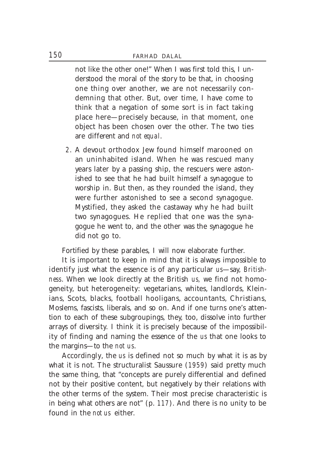not like the other one!" When I was first told this, I understood the moral of the story to be that, in choosing one thing over another, we are not necessarily condemning that other. But, over time, I have come to think that a negation of some sort is in fact taking place here—precisely because, in that moment, one object has been chosen over the other. The two ties are different and *not equal*.

2. A devout orthodox Jew found himself marooned on an uninhabited island. When he was rescued many years later by a passing ship, the rescuers were astonished to see that he had built himself a synagogue to worship in. But then, as they rounded the island, they were further astonished to see a second synagogue. Mystified, they asked the castaway why he had built two synagogues. He replied that one was the synagogue he went to, and the other was the synagogue he did not go to.

Fortified by these parables, I will now elaborate further.

It is important to keep in mind that it is always impossible to identify just what the essence is of any particular *us*—say, *Britishness*. When we look directly at the British *us,* we find not homogeneity, but heterogeneity: vegetarians, whites, landlords, Kleinians, Scots, blacks, football hooligans, accountants, Christians, Moslems, fascists, liberals, and so on. And if one turns one's attention to each of these subgroupings, they, too, dissolve into further arrays of diversity. I think it is precisely because of the impossibility of finding and naming the essence of the *us* that one looks to the margins—to the *not us*.

Accordingly, the *us* is defined not so much by what it is as by what it is not. The structuralist Saussure (1959) said pretty much the same thing, that "concepts are purely differential and defined not by their positive content, but negatively by their relations with the other terms of the system. Their most precise characteristic is in being what others are not" (p. 117). And there is no unity to be found in the *not us* either.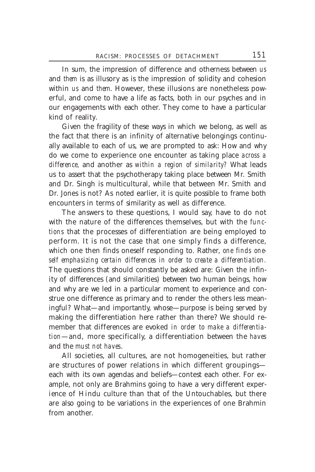In sum, the impression of difference and otherness between *us* and *them* is as illusory as is the impression of solidity and cohesion within *us* and *them*. However, these illusions are nonetheless powerful, and come to have a life as facts, both in our psyches and in our engagements with each other. They come to have a particular kind of reality.

Given the fragility of these ways in which we belong, as well as the fact that there is an infinity of alternative belongings continually available to each of us, we are prompted to ask: How and why do we come to experience one encounter as taking place *across a difference,* and another as *within a region of similarity?* What leads us to assert that the psychotherapy taking place between Mr. Smith and Dr. Singh is multicultural, while that between Mr. Smith and Dr. Jones is not? As noted earlier, it is quite possible to frame both encounters in terms of similarity as well as difference.

The answers to these questions, I would say, have to do not with the nature of the differences themselves, but with the *functions* that the processes of differentiation are being employed to perform. It is not the case that one simply finds a difference, which one then finds oneself responding to. Rather, *one finds oneself emphasizing certain differences in order to create a differentiation.* The questions that should constantly be asked are: Given the infinity of differences (and similarities) between two human beings, how and why are we led in a particular moment to experience and construe one difference as primary and to render the others less meaningful? What—and importantly, whose—purpose is being served by making the differentiation here rather than there? We should remember that differences are evoked *in order to make a differentiation*—and, more specifically, a differentiation between the *haves* and the *must not haves*.

All societies, all cultures, are not homogeneities, but rather are structures of power relations in which different groupings each with its own agendas and beliefs—contest each other. For example, not only are Brahmins going to have a very different experience of Hindu culture than that of the Untouchables, but there are also going to be variations in the experiences of one Brahmin from another.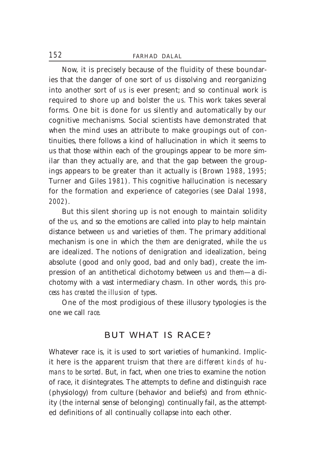Now, it is precisely because of the fluidity of these boundaries that the danger of one sort of *us* dissolving and reorganizing into another sort of *us* is ever present; and so continual work is required to shore up and bolster the *us*. This work takes several forms. One bit is done for us silently and automatically by our cognitive mechanisms. Social scientists have demonstrated that when the mind uses an attribute to make groupings out of continuities, there follows a kind of hallucination in which it seems to us that those within each of the groupings appear to be more similar than they actually are, and that the gap between the groupings appears to be greater than it actually is (Brown 1988, 1995; Turner and Giles 1981). This cognitive hallucination is necessary for the formation and experience of categories (see Dalal 1998, 2002).

But this silent shoring up is not enough to maintain solidity of the *us,* and so the emotions are called into play to help maintain distance between *us* and varieties of *them*. The primary additional mechanism is one in which the *them* are denigrated, while the *us* are idealized. The notions of denigration and idealization, being absolute (good and only good, bad and only bad), create the impression of an antithetical dichotomy between *us* and *them*—a dichotomy with a vast intermediary chasm. In other words, *this process has created the illusion of types*.

One of the most prodigious of these illusory typologies is the one we call *race*.

# BUT WHAT IS RACE?

Whatever race is, it is used to sort varieties of humankind. Implicit here is the apparent truism that *there are different kinds of humans to be sorted*. But, in fact, when one tries to examine the notion of race, it disintegrates. The attempts to define and distinguish race (physiology) from culture (behavior and beliefs) and from ethnicity (the internal sense of belonging) continually fail, as the attempted definitions of all continually collapse into each other.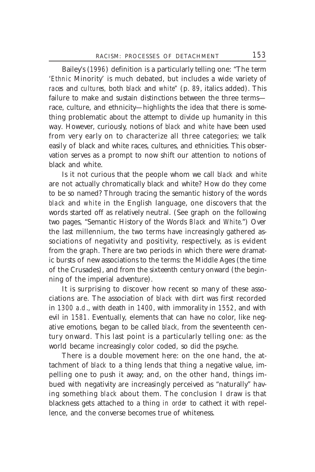Bailey's (1996) definition is a particularly telling one: "The term '*Ethnic* Minority' is much debated, but includes a wide variety of *races* and *cultures,* both *black* and *white"* (p. 89, italics added). This failure to make and sustain distinctions between the three terms race, culture, and ethnicity—highlights the idea that there is something problematic about the attempt to divide up humanity in this way. However, curiously, notions of *black* and *white* have been used from very early on to characterize all three categories; we talk easily of black and white races, cultures, and ethnicities. This observation serves as a prompt to now shift our attention to notions of black and white.

Is it not curious that the people whom we call *black* and *white* are not actually chromatically black and white? How do they come to be so named? Through tracing the semantic history of the words *black* and *white* in the English language, one discovers that the words started off as relatively neutral. (See graph on the following two pages, "Semantic History of the Words *Black* and *White*.") Over the last millennium, the two terms have increasingly gathered associations of negativity and positivity, respectively, as is evident from the graph. There are two periods in which there were dramatic bursts of new associations to the terms: the Middle Ages (the time of the Crusades), and from the sixteenth century onward (the beginning of the imperial adventure).

It is surprising to discover how recent so many of these associations are. The association of *black* with dirt was first recorded in 1300 a.d., with death in 1400, with immorality in 1552, and with evil in 1581. Eventually, elements that can have no color, like negative emotions, began to be called *black,* from the seventeenth century onward. This last point is a particularly telling one: as the world became increasingly color coded, so did the psyche.

There is a double movement here: on the one hand, the attachment of *black* to a thing lends that thing a negative value, impelling one to push it away; and, on the other hand, things imbued with negativity are increasingly perceived as "naturally" having something *black* about them. The conclusion I draw is that blackness gets attached to a thing *in order* to cathect it with repellence, and the converse becomes true of whiteness.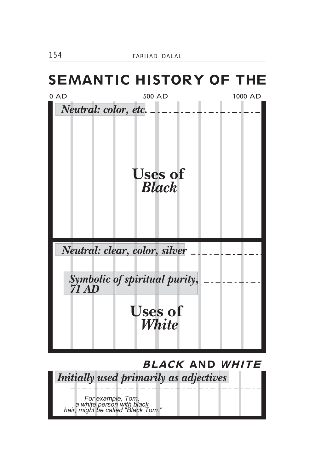# **SEMANTIC HISTORY OF THE**



*Initially used primarily as adjectives For example, Tom, a white person with black hair, might be called "Black Tom."*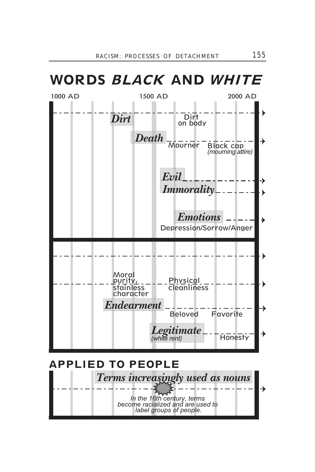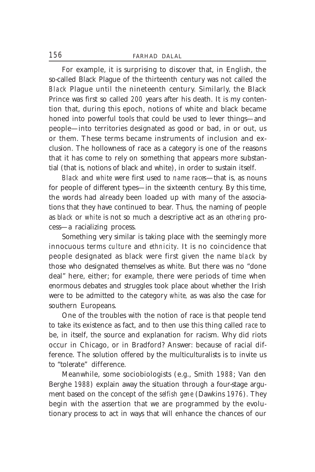For example, it is surprising to discover that, in English, the so-called Black Plague of the thirteenth century was not called the *Black* Plague until the nineteenth century. Similarly, the Black Prince was first so called 200 years after his death. It is my contention that, during this epoch, notions of white and black became honed into powerful tools that could be used to lever things—and people—into territories designated as good or bad, in or out, us or them. These terms became instruments of inclusion and exclusion. The hollowness of race as a category is one of the reasons that it has come to rely on something that appears more substantial (that is, notions of black and white), in order to sustain itself.

*Black* and *white* were first used to *name races*—that is, as nouns for people of different types—in the sixteenth century. By this time, the words had already been loaded up with many of the associations that they have continued to bear. Thus, the naming of people as *black* or *white* is not so much a descriptive act as an *othering* process—a racializing process.

Something very similar is taking place with the seemingly more innocuous terms *culture* and *ethnicity*. It is no coincidence that people designated as black were first given the name *black* by those who designated themselves as white. But there was no "done deal" here, either; for example, there were periods of time when enormous debates and struggles took place about whether the Irish were to be admitted to the category *white,* as was also the case for southern Europeans.

One of the troubles with the notion of race is that people tend to take its existence as fact, and to then use this thing called *race* to be, in itself, the source and explanation for racism. Why did riots occur in Chicago, or in Bradford? Answer: because of racial difference. The solution offered by the multiculturalists is to invite us to "tolerate" difference.

Meanwhile, some sociobiologists (e.g., Smith 1988; Van den Berghe 1988) explain away the situation through a four-stage argument based on the concept of the *selfish gene* (Dawkins 1976). They begin with the assertion that we are programmed by the evolutionary process to act in ways that will enhance the chances of our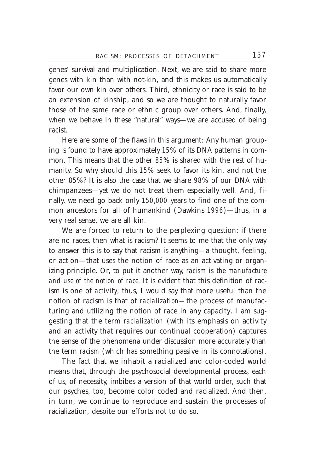genes' survival and multiplication. Next, we are said to share more genes with kin than with not-kin, and this makes us automatically favor our own kin over others. Third, ethnicity or race is said to be an extension of kinship, and so we are thought to naturally favor those of the same race or ethnic group over others. And, finally, when we behave in these "natural" ways—we are accused of being racist.

Here are some of the flaws in this argument: Any human grouping is found to have approximately 15% of its DNA patterns in common. This means that the other 85% is shared with the rest of humanity. So why should this 15% seek to favor its kin, and not the other 85%? It is also the case that we share 98% of our DNA with chimpanzees—yet we do not treat them especially well. And, finally, we need go back only 150,000 years to find one of the common ancestors for all of humankind (Dawkins 1996)—thus, in a very real sense, we are all kin.

We are forced to return to the perplexing question: if there are no races, then what is racism? It seems to me that the only way to answer this is to say that racism is anything—a thought, feeling, or action—that uses the notion of race as an activating or organizing principle. Or, to put it another way, *racism is the manufacture and use of the notion of race*. It is evident that this definition of racism is one of *activity;* thus, I would say that more useful than the notion of racism is that of *racialization—*the process of manufacturing and utilizing the notion of race in any capacity. I am suggesting that the term *racialization* (with its emphasis on activity and an activity that requires our continual cooperation) captures the sense of the phenomena under discussion more accurately than the term *racism* (which has something passive in its connotations).

The fact that we inhabit a racialized and color-coded world means that, through the psychosocial developmental process, each of us, of necessity, imbibes a version of that world order, such that our psyches, too, become color coded and racialized. And then, in turn, we continue to reproduce and sustain the processes of racialization, despite our efforts not to do so.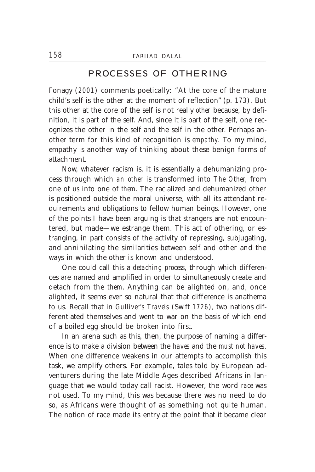# PROCESSES OF OTHERING

Fonagy (2001) comments poetically: "At the core of the mature child's self is the other at the moment of reflection" (p. 173). But this other at the core of the self is not really *other* because, by definition, it is part of the self. And, since it is part of the self, one recognizes the other in the self and the self in the other. Perhaps another term for this kind of recognition is *empathy*. To my mind, empathy is another way of thinking about these benign forms of attachment.

Now, whatever racism is, it is essentially a dehumanizing process through which *an other* is transformed into *The Other,* from one of *us* into one of *them*. The racialized and dehumanized other is positioned outside the moral universe, with all its attendant requirements and obligations to fellow human beings. However, one of the points I have been arguing is that strangers are not encountered, but made—we estrange them. This act of othering, or estranging, in part consists of the activity of repressing, subjugating, and annihilating the similarities between self and other and the ways in which the other is known and understood.

One could call this a *detaching process,* through which differences are named and amplified in order to simultaneously create and detach from the *them*. Anything can be alighted on, and, once alighted, it seems ever so natural that that difference is anathema to us. Recall that in *Gulliver's Travels* (Swift 1726), two nations differentiated themselves and went to war on the basis of which end of a boiled egg should be broken into first.

In an arena such as this, then, the purpose of naming a difference is to make a division between the *haves* and the *must not haves*. When one difference weakens in our attempts to accomplish this task, we amplify others. For example, tales told by European adventurers during the late Middle Ages described Africans in language that we would today call racist. However, the word *race* was not used. To my mind, this was because there was no need to do so, as Africans were thought of as something not quite human. The notion of race made its entry at the point that it became clear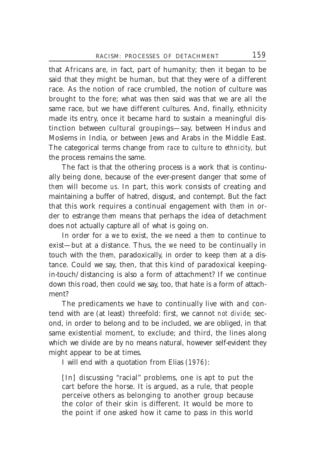that Africans are, in fact, part of humanity; then it began to be said that they might be human, but that they were of a different race. As the notion of race crumbled, the notion of culture was brought to the fore; what was then said was that we are all the same race, but we have different cultures. And, finally, ethnicity made its entry, once it became hard to sustain a meaningful distinction between cultural groupings—say, between Hindus and Moslems in India, or between Jews and Arabs in the Middle East. The categorical terms change from *race* to *culture* to *ethnicity,* but the process remains the same.

The fact is that the othering process is a work that is continually being done, because of the ever-present danger that some of *them* will become *us*. In part, this work consists of creating and maintaining a buffer of hatred, disgust, and contempt. But the fact that this work requires a continual engagement with *them* in order to estrange *them* means that perhaps the idea of detachment does not actually capture all of what is going on.

In order for a *we* to exist, the *we* need a *them* to continue to exist—but at a distance. Thus, the *we* need to be continually in touch with the *them,* paradoxically, in order to keep *them* at a distance. Could we say, then, that this kind of paradoxical keepingin-touch/distancing is also a form of attachment? If we continue down this road, then could we say, too, that hate is a form of attachment?

The predicaments we have to continually live with and contend with are (at least) threefold: first, we cannot *not divide;* second, in order to belong and to be included, we are obliged, in that same existential moment, to exclude; and third, the lines along which we divide are by no means natural, however self-evident they might appear to be at times.

I will end with a quotation from Elias (1976):

[In] discussing "racial" problems, one is apt to put the cart before the horse. It is argued, as a rule, that people perceive others as belonging to another group because the color of their skin is different. It would be more to the point if one asked how it came to pass in this world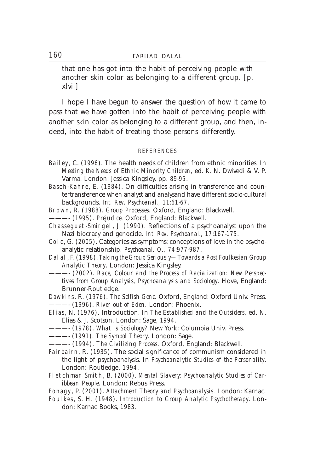that one has got into the habit of perceiving people with another skin color as belonging to a different group. [p. xlvii]

I hope I have begun to answer the question of how it came to pass that we have gotten into the habit of perceiving people with another skin color as belonging to a different group, and then, indeed, into the habit of treating those persons differently.

#### REFERENCES

- Bailey, C. (1996). The health needs of children from ethnic minorities. In *Meeting the Needs of Ethnic Minority Children,* ed. K. N. Dwivedi & V. P. Varma. London: Jessica Kingsley, pp. 89-95.
- Basch-Kahre, E. (1984). On difficulties arising in transference and countertransference when analyst and analysand have different socio-cultural backgrounds. *Int. Rev. Psychoanal.,* 11:61-67.
- Brown, R. (1988). *Group Processes.* Oxford, England: Blackwell.
- ———- (1995). *Prejudice*. Oxford, England: Blackwell.
- Chasseguet-Smirgel, J. (1990). Reflections of a psychoanalyst upon the Nazi biocracy and genocide. *Int. Rev. Psychoanal.,* 17:167-175.
- Cole, G. (2005). Categories as symptoms: conceptions of love in the psychoanalytic relationship. *Psychoanal. Q.,* 74:977-987.
- Dalal, F. (1998). *Taking the Group Seriously—Towards a Post Foulkesian Group Analytic Theory*. London: Jessica Kingsley.
	- ———- (2002). *Race, Colour and the Process of Racialization: New Perspectives from Group Analysis, Psychoanalysis and Sociology*. Hove, England: Brunner-Routledge.
- Dawkins, R. (1976). *The Selfish Gene.* Oxford, England: Oxford Univ. Press. ———- (1996). *River out of Eden.* London: Phoenix.
- Elias, N. (1976). Introduction. In *The Established and the Outsiders,* ed. N. Elias & J. Scotson. London: Sage, 1994.
- ———- (1978). *What Is Sociology?* New York: Columbia Univ. Press.
- ———- (1991). *The Symbol Theory*. London: Sage.
- ———- (1994). *The Civilizing Process*. Oxford, England: Blackwell.
- Fairbairn, R. (1935). The social significance of communism considered in the light of psychoanalysis. In *Psychoanalytic Studies of the Personality*. London: Routledge, 1994.
- Fletchman Smith, B. (2000). *Mental Slavery: Psychoanalytic Studies of Caribbean People*. London: Rebus Press.
- Fonagy, P. (2001). *Attachment Theory and Psychoanalysis.* London: Karnac.
- Foulkes, S. H. (1948). *Introduction to Group Analytic Psychotherapy*. London: Karnac Books, 1983.